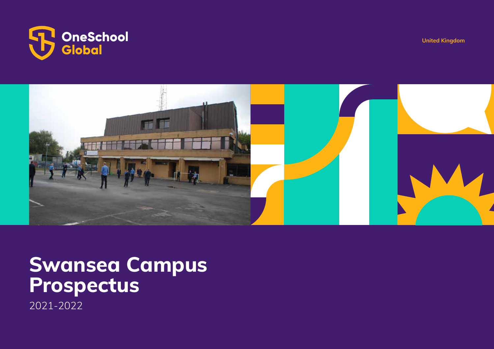

**United Kingdom**



# **Prospectus Swansea Campus**

2021-2022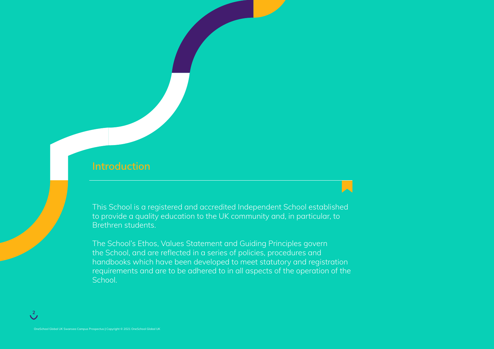This School is a registered and accredited Independent School established to provide a quality education to the UK community and, in particular, to Brethren students.

The School's Ethos, Values Statement and Guiding Principles govern the School, and are reflected in a series of policies, procedures and handbooks which have been developed to meet statutory and registration requirements and are to be adhered to in all aspects of the operation of the School.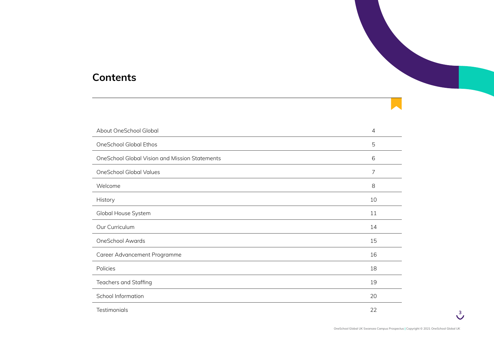## **Contents**

| About OneSchool Global                                | $\overline{4}$ |
|-------------------------------------------------------|----------------|
| <b>OneSchool Global Ethos</b>                         | 5              |
| <b>OneSchool Global Vision and Mission Statements</b> | 6              |
| <b>OneSchool Global Values</b>                        | 7              |
| Welcome                                               | 8              |
| History                                               | 10             |
| Global House System                                   | 11             |
| Our Curriculum                                        | 14             |
| <b>OneSchool Awards</b>                               | 15             |
| Career Advancement Programme                          | 16             |
| Policies                                              | 18             |
| Teachers and Staffing                                 | 19             |
| School Information                                    | 20             |
| Testimonials                                          | 22             |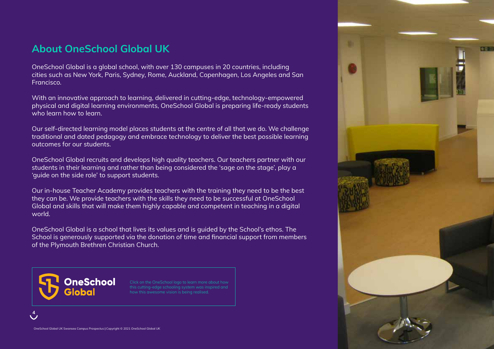## **About OneSchool Global UK**

OneSchool Global is a global school, with over 130 campuses in 20 countries, including cities such as New York, Paris, Sydney, Rome, Auckland, Copenhagen, Los Angeles and San Francisco.

With an innovative approach to learning, delivered in cutting-edge, technology-empowered physical and digital learning environments, OneSchool Global is preparing life-ready students who learn how to learn.

Our self-directed learning model places students at the centre of all that we do. We challenge traditional and dated pedagogy and embrace technology to deliver the best possible learning outcomes for our students.

OneSchool Global recruits and develops high quality teachers. Our teachers partner with our students in their learning and rather than being considered the 'sage on the stage', play a 'guide on the side role' to support students.

Our in-house Teacher Academy provides teachers with the training they need to be the best they can be. We provide teachers with the skills they need to be successful at OneSchool Global and skills that will make them highly capable and competent in teaching in a digital world.

OneSchool Global is a school that lives its values and is guided by the School's ethos. The School is generously supported via the donation of time and financial support from members of the Plymouth Brethren Christian Church.

**OneSchool** Global

**4**

Click on the OneSchool logo to learn more about how this cutting-edge schooling system was inspired and how this awesome vision is being realised.

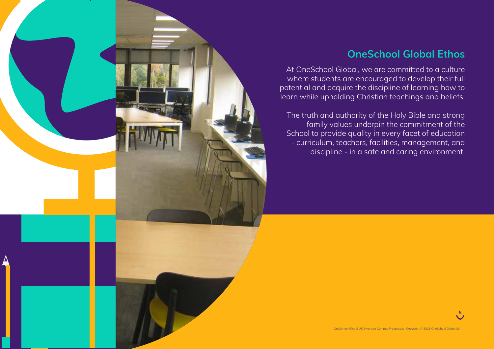

# **OneSchool Global Ethos**

At OneSchool Global, we are committed to a culture where students are encouraged to develop their full potential and acquire the discipline of learning how to learn while upholding Christian teachings and beliefs.

The truth and authority of the Holy Bible and strong family values underpin the commitment of the School to provide quality in every facet of education - curriculum, teachers, facilities, management, and discipline - in a safe and caring environment.

OneSchool Global UK Swansea Campus Prospectus **|** Copyright © 2021 OneSchool Global UK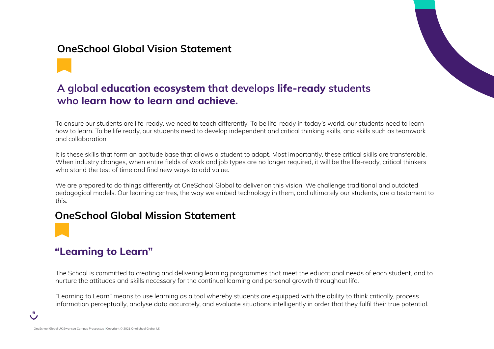## **OneSchool Global Vision Statement**

## **A global education ecosystem that develops life-ready students who learn how to learn and achieve.**

To ensure our students are life-ready, we need to teach differently. To be life-ready in today's world, our students need to learn how to learn. To be life ready, our students need to develop independent and critical thinking skills, and skills such as teamwork and collaboration

It is these skills that form an aptitude base that allows a student to adapt. Most importantly, these critical skills are transferable. When industry changes, when entire fields of work and job types are no longer required, it will be the life-ready, critical thinkers who stand the test of time and find new ways to add value.

We are prepared to do things differently at OneSchool Global to deliver on this vision. We challenge traditional and outdated pedagogical models. Our learning centres, the way we embed technology in them, and ultimately our students, are a testament to this.

## **OneSchool Global Mission Statement**



## **"Learning to Learn"**

The School is committed to creating and delivering learning programmes that meet the educational needs of each student, and to nurture the attitudes and skills necessary for the continual learning and personal growth throughout life.

"Learning to Learn" means to use learning as a tool whereby students are equipped with the ability to think critically, process information perceptually, analyse data accurately, and evaluate situations intelligently in order that they fulfil their true potential.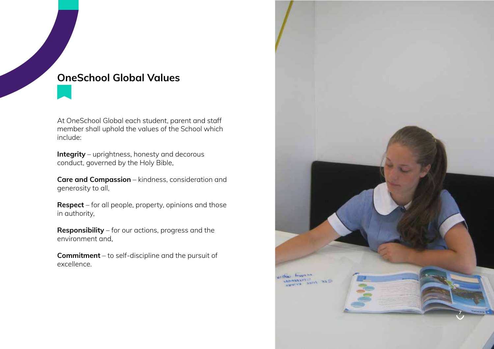# **OneSchool Global Values**

At OneSchool Global each student, parent and staff member shall uphold the values of the School which include:

**Integrity** – uprightness, honesty and decorous conduct, governed by the Holy Bible,

**Care and Compassion** – kindness, consideration and generosity to all,

**Respect** – for all people, property, opinions and those in authority,

**Responsibility** – for our actions, progress and the environment and,

**Commitment** – to self-discipline and the pursuit of excellence.

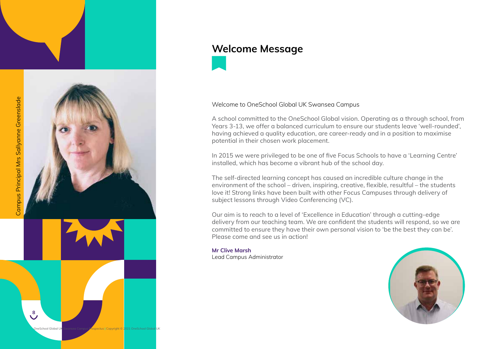

## **Welcome Message**



#### Welcome to OneSchool Global UK Swansea Campus

A school committed to the OneSchool Global vision. Operating as a through school, from Years 3-13, we offer a balanced curriculum to ensure our students leave 'well-rounded', having achieved a quality education, are career-ready and in a position to maximise potential in their chosen work placement.

In 2015 we were privileged to be one of five Focus Schools to have a 'Learning Centre' installed, which has become a vibrant hub of the school day.

The self-directed learning concept has caused an incredible culture change in the environment of the school – driven, inspiring, creative, flexible, resultful – the students love it! Strong links have been built with other Focus Campuses through delivery of subject lessons through Video Conferencing (VC).

Our aim is to reach to a level of 'Excellence in Education' through a cutting-edge delivery from our teaching team. We are confident the students will respond, so we are committed to ensure they have their own personal vision to 'be the best they can be'. Please come and see us in action!

**Mr Clive Marsh** Lead Campus Administrator

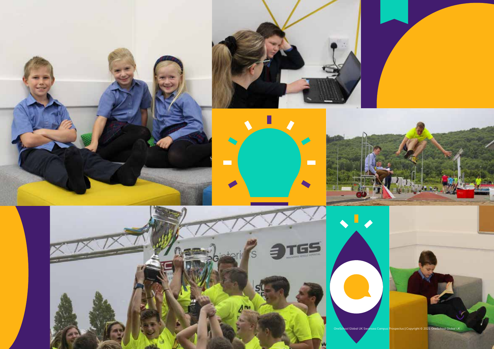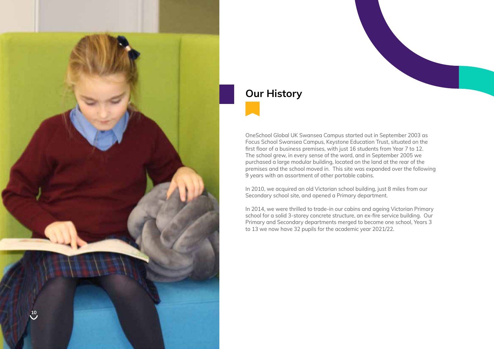

## **Our History**



In 2010, we acquired an old Victorian school building, just 8 miles from our Secondary school site, and opened a Primary department.

In 2014, we were thrilled to trade-in our cabins and ageing Victorian Primary school for a solid 3-storey concrete structure, an ex-fire service building. Our Primary and Secondary departments merged to become one school, Years 3 to 13 we now have 32 pupils for the academic year 2021/22.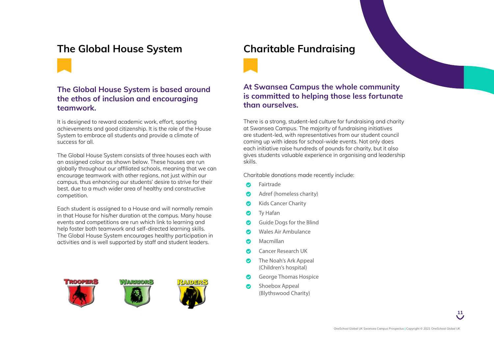## **The Global House System**

## **The Global House System is based around the ethos of inclusion and encouraging teamwork.**

It is designed to reward academic work, effort, sporting achievements and good citizenship. It is the role of the House System to embrace all students and provide a climate of success for all.

The Global House System consists of three houses each with an assigned colour as shown below. These houses are run globally throughout our affiliated schools, meaning that we can encourage teamwork with other regions, not just within our campus, thus enhancing our students' desire to strive for their best, due to a much wider area of healthy and constructive competition.

Each student is assigned to a House and will normally remain in that House for his/her duration at the campus. Many house events and competitions are run which link to learning and help foster both teamwork and self-directed learning skills. The Global House System encourages healthy participation in activities and is well supported by staff and student leaders.







## **Charitable Fundraising**

## **At Swansea Campus the whole community is committed to helping those less fortunate than ourselves.**

There is a strong, student-led culture for fundraising and charity at Swansea Campus. The majority of fundraising initiatives are student-led, with representatives from our student council coming up with ideas for school-wide events. Not only does each initiative raise hundreds of pounds for charity, but it also gives students valuable experience in organising and leadership skills.

#### Charitable donations made recently include:

- **C** Fairtrade
- **Adref (homeless charity)**
- **S** Kids Cancer Charity
- **O** Ty Hafan
- Guide Dogs for the Blind
- Wales Air Ambulance
- **Macmillan**
- Cancer Research UK
- **C** The Noah's Ark Appeal (Children's hospital)
- George Thomas Hospice
- Shoebox Appeal (Blythswood Charity)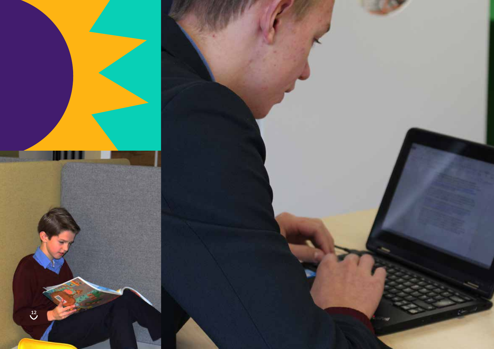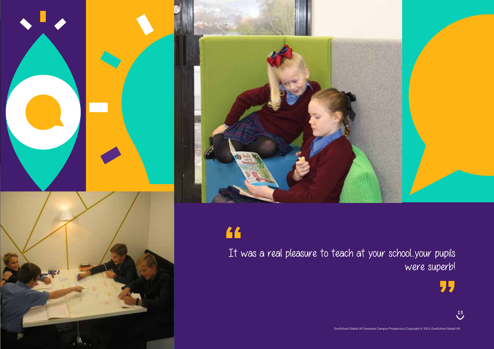



**"**

It was a real pleasure to teach at your school... your pupils were superb!

**"**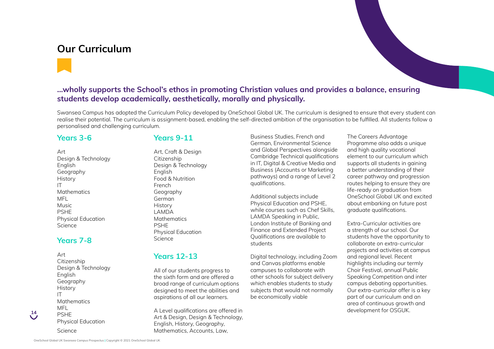## **Our Curriculum**



## **...wholly supports the School's ethos in promoting Christian values and provides a balance, ensuring students develop academically, aesthetically, morally and physically.**

Swansea Campus has adopted the Curriculum Policy developed by OneSchool Global UK. The curriculum is designed to ensure that every student can realise their potential. The curriculum is assignment-based, enabling the self-directed ambition of the organisation to be fulfilled. All students follow a personalised and challenging curriculum.

#### **Years 3-6**

Art Design & Technology English Geography History IT **Mathematics** MFL Music PSHE Physical Education Science

### **Years 7-8**

Art Citizenship Design & Technology English Geography History IT **Mathematics** MFL PSHE Physical Education Science

**14**

#### **Years 9-11**

Art, Craft & Design Citizenship Design & Technology **English** Food & Nutrition French Geography German History LAMDA **Mathematics** PSHE Physical Education Science

#### **Years 12-13**

All of our students progress to the sixth form and are offered a broad range of curriculum options designed to meet the abilities and aspirations of all our learners.

A Level qualifications are offered in Art & Design, Design & Technology, English, History, Geography, Mathematics, Accounts, Law,

Business Studies, French and German, Environmental Science and Global Perspectives alongside Cambridge Technical qualifications in IT, Digital & Creative Media and Business (Accounts or Marketing pathways) and a range of Level 2 qualifications.

Additional subjects include Physical Education and PSHE, while courses such as Chef Skills, LAMDA Speaking in Public, London Institute of Banking and Finance and Extended Project Qualifications are available to students

Digital technology, including Zoom and Canvas platforms enable campuses to collaborate with other schools for subject delivery which enables students to study subjects that would not normally be economically viable

The Careers Advantage Programme also adds a unique and high quality vocational element to our curriculum which supports all students in gaining a better understanding of their career pathway and progression routes helping to ensure they are life-ready on graduation from OneSchool Global UK and excited about embarking on future post graduate qualifications.

Extra-Curricular activities are a strength of our school. Our students have the opportunity to collaborate on extra-curricular projects and activities at campus and regional level. Recent highlights including our termly Choir Festival, annual Public Speaking Competition and inter campus debating opportunities. Our extra-curricular offer is a key part of our curriculum and an area of continuous growth and development for OSGUK.

OneSchool Global UK Swansea Campus Prospectus **|** Copyright © 2021 OneSchool Global UK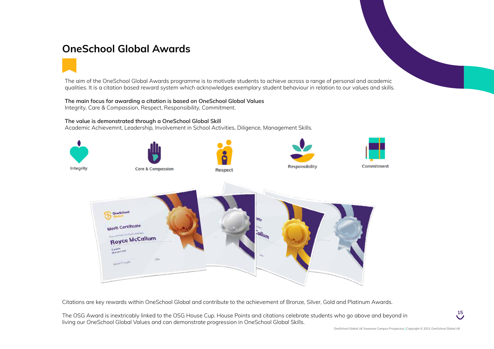## **OneSchool Global Awards**



The aim of the OneSchool Global Awards programme is to motivate students to achieve across a range of personal and academic qualities. It is a citation based reward system which acknowledges exemplary student behaviour in relation to our values and skills.

#### **The main focus for awarding a citation is based on OneSchool Global Values**

Integrity, Care & Compassion, Respect, Responsibility, Commitment.

#### **The value is demonstrated through a OneSchool Global Skill**

Academic Achievemnt, Leadership, Involvement in School Activities, Diligence, Management Skills.



Citations are key rewards within OneSchool Global and contribute to the achievement of Bronze, Silver, Gold and Platinum Awards.

The OSG Award is inextricably linked to the OSG House Cup. House Points and citations celebrate students who go above and beyond in living our OneSchool Global Values and can demonstrate progression in OneSchool Global Skills.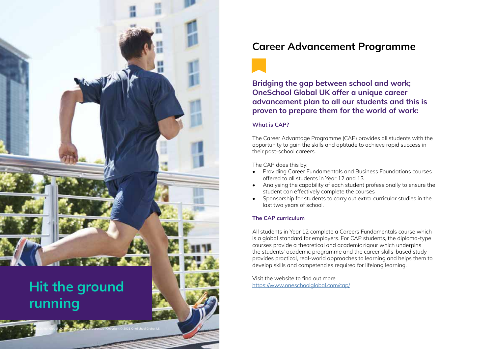

OneSchool Global UK Swansea Campus Prospectus **|** Copyright © 2021 OneSchool Global UK

## **Career Advancement Programme**

**Bridging the gap between school and work; OneSchool Global UK offer a unique career advancement plan to all our students and this is proven to prepare them for the world of work:**

#### **What is CAP?**

The Career Advantage Programme (CAP) provides all students with the opportunity to gain the skills and aptitude to achieve rapid success in their post-school careers.

The CAP does this by:

- Providing Career Fundamentals and Business Foundations courses offered to all students in Year 12 and 13
- Analysing the capability of each student professionally to ensure the student can effectively complete the courses
- Sponsorship for students to carry out extra-curricular studies in the last two years of school.

#### **The CAP curriculum**

All students in Year 12 complete a Careers Fundamentals course which is a global standard for employers. For CAP students, the diploma-type courses provide a theoretical and academic rigour which underpins the students' academic programme and the career skills-based study provides practical, real-world approaches to learning and helps them to develop skills and competencies required for lifelong learning.

Visit the website to find out more https://www.oneschoolglobal.com/cap[/](http://cap.focus-school.com/)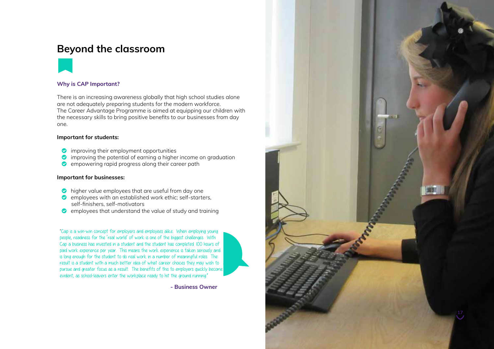## **Beyond the classroom**



#### **Why is CAP Important?**

There is an increasing awareness globally that high school studies alone are not adequately preparing students for the modern workforce. The Career Advantage Programme is aimed at equipping our children with the necessary skills to bring positive benefits to our businesses from day one.

#### **Important for students:**

- **O** improving their employment opportunities
- $\bullet$  improving the potential of earning a higher income on graduation
- **e** empowering rapid progress along their career path

#### **Important for businesses:**

- $\bullet$  higher value employees that are useful from day one
- $\bullet$  employees with an established work ethic; self-starters, self-finishers, self-motivators
- $\bullet$  employees that understand the value of study and training

"Cap is a win-win concept for employers and employees alike. When employing young people, readiness for the 'real world' of work is one of the biggest challenges. With Cap a business has invested in a student and the student has completed 100 hours of paid work experience per year. This means the work experience is taken seriously and is long enough for the student to do real work in a number of meaningful roles. The result is a student with a much better idea of what career choices they may wish to pursue and greater focus as a result. The benefits of this to employers quickly become evident, as school-leavers enter the workplace ready to hit the ground running."

**- Business Owner**

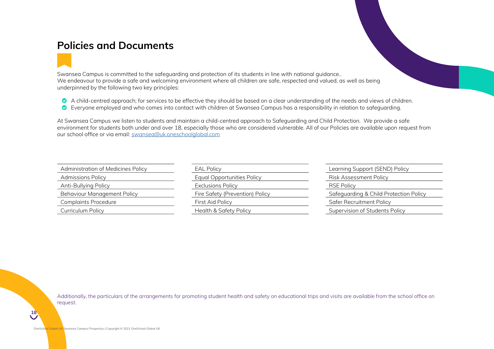## **Policies and Documents**

Swansea Campus is committed to the safeguarding and protection of its students in line with national guidance.. We endeavour to provide a safe and welcoming environment where all children are safe, respected and valued, as well as being underpinned by the following two key principles:

- A child-centred approach; for services to be effective they should be based on a clear understanding of the needs and views of children.
- Everyone employed and who comes into contact with children at Swansea Campus has a responsibility in relation to safeguarding.

At Swansea Campus we listen to students and maintain a child-centred approach to Safeguarding and Child Protection. We provide a safe environment for students both under and over 18, especially those who are considered vulnerable. All of our Policies are available upon request from our school office or via email: swanse[a@uk.oneschoolglobal.com](mailto:%20Hindhead%40uk.oneschoolglobal.com?subject=)

| Administration of Medicines Policy | Learning Support (SEND) Policy<br><b>EAL Policy</b> |                                        |  |
|------------------------------------|-----------------------------------------------------|----------------------------------------|--|
| <b>Admissions Policy</b>           | <b>Equal Opportunities Policy</b>                   | <b>Risk Assessment Policy</b>          |  |
| Anti-Bullying Policy               | <b>Exclusions Policy</b>                            | <b>RSE Policy</b>                      |  |
| Behaviour Management Policy        | Fire Safety (Prevention) Policy                     | Safequarding & Child Protection Policy |  |
| <b>Complaints Procedure</b>        | First Aid Policy                                    | Safer Recruitment Policy               |  |
| Curriculum Policy                  | Health & Safety Policy                              | Supervision of Students Policy         |  |

Additionally, the particulars of the arrangements for promoting student health and safety on educational trips and visits are available from the school office on request.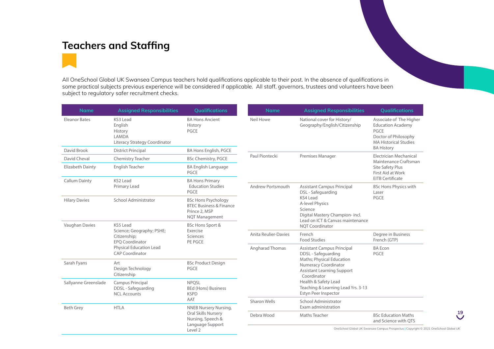## **Teachers and Staffing**

All OneSchool Global UK Swansea Campus teachers hold qualifications applicable to their post. In the absence of qualifications in some practical subjects previous experience will be considered if applicable. All staff, governors, trustees and volunteers have been subject to regulatory safer recruitment checks.

| <b>Name</b>                | <b>Assigned Responsibilities</b>                                         | <b>Qualifications</b>                                                                                      | <b>Name</b>                 | <b>Assigned Responsibilities</b>                                                                              | <b>Qualifications</b>                                                                                                                           |
|----------------------------|--------------------------------------------------------------------------|------------------------------------------------------------------------------------------------------------|-----------------------------|---------------------------------------------------------------------------------------------------------------|-------------------------------------------------------------------------------------------------------------------------------------------------|
| <b>Eleanor Bates</b>       | KS3 Lead<br>English<br>History<br>LAMDA<br>Literacy Strategy Coordinator | <b>BA Hons Ancient</b><br>History<br>PGCE                                                                  | Neil Howe<br>Paul Piontecki | National cover for History/<br>Geography/English/Citizenship                                                  | Associate of The Higher<br><b>Education Academy</b><br><b>PGCE</b><br>Doctor of Philosophy<br><b>MA Historical Studies</b><br><b>BA History</b> |
| David Brook                | <b>District Principal</b>                                                | <b>BA Hons English, PGCE</b>                                                                               |                             |                                                                                                               | Electrician Mechanical                                                                                                                          |
| David Cheval               | Chemistry Teacher                                                        | <b>BSc Chemistry, PGCE</b>                                                                                 |                             | Premises Manager                                                                                              |                                                                                                                                                 |
| Elizabeth Dainty           | English Teacher                                                          | <b>BA English Language</b><br>PGCE                                                                         |                             |                                                                                                               | <b>Site Safety Plus</b><br>First Aid at Work                                                                                                    |
| <b>Callum Dainty</b>       | KS2 Lead<br>Primary Lead                                                 | <b>BA Hons Primary</b><br><b>Education Studies</b><br>PGCE                                                 | Andrew Portsmouth           | <b>Assistant Campus Principal</b><br>DSL - Safeguarding                                                       | <b>EITB Certificate</b><br><b>BSc Hons Physics with</b><br>Laser                                                                                |
| <b>Hilary Davies</b>       | <b>School Administrator</b>                                              | <b>BSc Hons Psychology</b><br><b>BTEC Business &amp; Finance</b><br>Prince 2, MSP<br><b>NQT Management</b> |                             | KS4 Lead<br>A-level Physics<br>Science<br>Digital Mastery Champion- incl.<br>Lead on ICT & Canvas maintenance | PGCE                                                                                                                                            |
| KS5 Lead<br>Vaughan Davies | Science; Geography; PSHE;<br>Citizenship;<br>EPQ Coordinator             | BSc Hons Sport &<br>Exercise<br>Sciences<br>PE PGCE                                                        |                             | NQT Coordinator                                                                                               |                                                                                                                                                 |
|                            |                                                                          |                                                                                                            | Anita Reulier-Davies        | French<br><b>Food Studies</b>                                                                                 | Degree in Business<br>French (GTP)                                                                                                              |
|                            | Physical Education Lead<br><b>CAP Coordinator</b>                        |                                                                                                            | Angharad Thomas             | <b>Assistant Campus Principal</b><br>DDSL - Safeguarding                                                      | <b>BA Econ</b><br>PGCE                                                                                                                          |
| Sarah Fyans                | Art<br>Design Technology<br>Citizenship                                  | <b>BSc Product Design</b><br><b>PGCE</b>                                                                   |                             | Maths; Physical Education<br>Numeracy Coordinator<br><b>Assistant Learning Support</b><br>Coordinator         |                                                                                                                                                 |
| Sallyanne Greenslade       | Campus Principal<br>DDSL - Safeguarding<br><b>NCL Accounts</b>           | <b>NPOSL</b><br><b>BEd (Hons) Business</b><br><b>KSPD</b>                                                  |                             | Health & Safety Lead<br>Teaching & Learning Lead Yrs. 3-13<br>Estyn Peer Inspector                            |                                                                                                                                                 |
| <b>Beth Grey</b>           | <b>HTLA</b>                                                              | AAT<br><b>NNEB Nursery Nursing,</b>                                                                        | Sharon Wells                | School Administrator<br>Exam administration                                                                   |                                                                                                                                                 |
|                            |                                                                          | Oral Skills Nursery<br>Nursing, Speech &<br>Language Support                                               | Debra Wood                  | Maths Teacher                                                                                                 | <b>BSc Education Maths</b><br>and Science with OTS                                                                                              |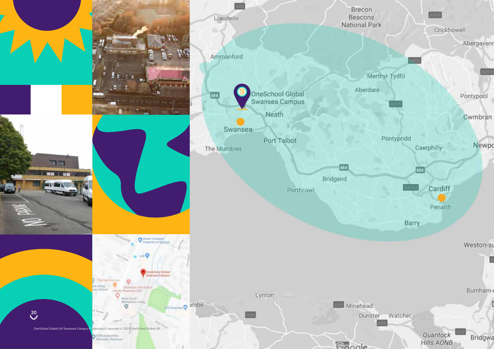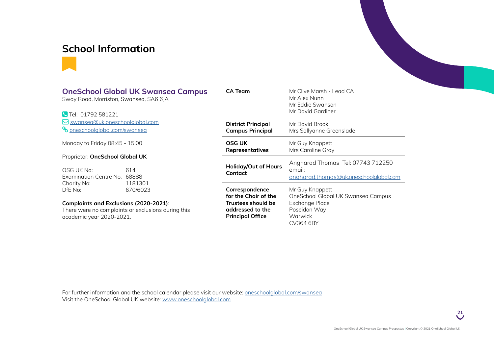## **School Information**



### **OneSchool Global UK Swansea Campus**

Sway Road, Morriston, Swansea, SA6 6JA

**C** Tel: 01792 581221

 [swansea@uk.oneschoolglobal.com](mailto:swansea%40uk.oneschoolglobal.com?subject=) **S** one[schoolglobal.com/](https://www.oneschoolglobal.com/campus/united-kingdom/swansea)swansea

Monday to Friday 08:45 - 15:00

#### Proprietor: **OneSchool Global UK**

| OSG UK No:                           | 614      |
|--------------------------------------|----------|
| Examination Centre No. 68888         |          |
| Charity No:                          | 1181301  |
| $\mathsf{D}\mathsf{f}\mathsf{F}$ No: | 670/6023 |

#### **Complaints and Exclusions (2020-2021)**:

There were no complaints or exclusions during this academic year 2020-2021.

| CA Team                                                                                                     | Mr Clive Marsh - Lead CA<br>Mr Alex Nunn<br>Mr Eddie Swanson<br>Mr David Gardiner                               |
|-------------------------------------------------------------------------------------------------------------|-----------------------------------------------------------------------------------------------------------------|
| <b>District Principal</b><br><b>Campus Principal</b>                                                        | Mr David Brook<br>Mrs Sallyanne Greenslade                                                                      |
| OSG UK<br>Representatives                                                                                   | Mr Guy Knappett<br>Mrs Caroline Gray                                                                            |
| <b>Holiday/Out of Hours</b><br>Contact                                                                      | Angharad Thomas Tel: 07743 712250<br>email:<br>angharad.thomas@uk.oneschoolglobal.com                           |
| Correspondence<br>for the Chair of the<br>Trustees should be<br>addressed to the<br><b>Principal Office</b> | Mr Guy Knappett<br>OneSchool Global UK Swansea Campus<br>Exchange Place<br>Poseidon Way<br>Warwick<br>CV364 6BY |

For further information and the school calendar please visit our website: **on[eschoolglobal.com](https://www.oneschoolglobal.com/campus/united-kingdom/swansea)/swansea** Visit the OneSchool Global UK website: [www.oneschoolglobal.com](https://www.oneschoolglobal.com/)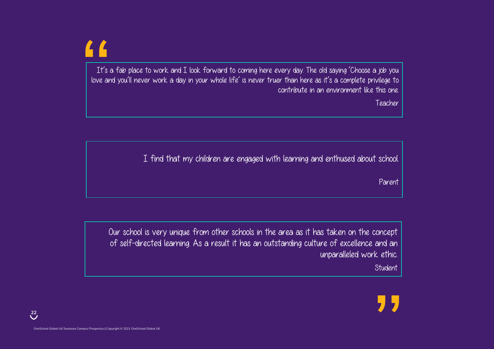The same of the same of the same of the same of the same of the same of the same of the same of the same of the same of the same of the same of the same of the same of the same of the same of the same of the same of the sa It's a fab place to work and I look forward to coming here every day. The old saying 'Choose a job you love and you'll never work a day in your whole life' is never truer than here as it's a complete privilege to contribute in an environment like this one.

Teacher

I find that my children are engaged with learning and enthused about school.

Parent

Our school is very unique from other schools in the area as it has taken on the concept of self-directed learning. As a result it has an outstanding culture of excellence and an unparalleled work ethic.

**Student** 

# ethic. |<br>|<br>|-<br>|-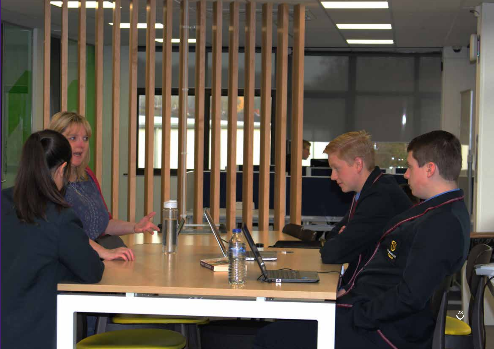